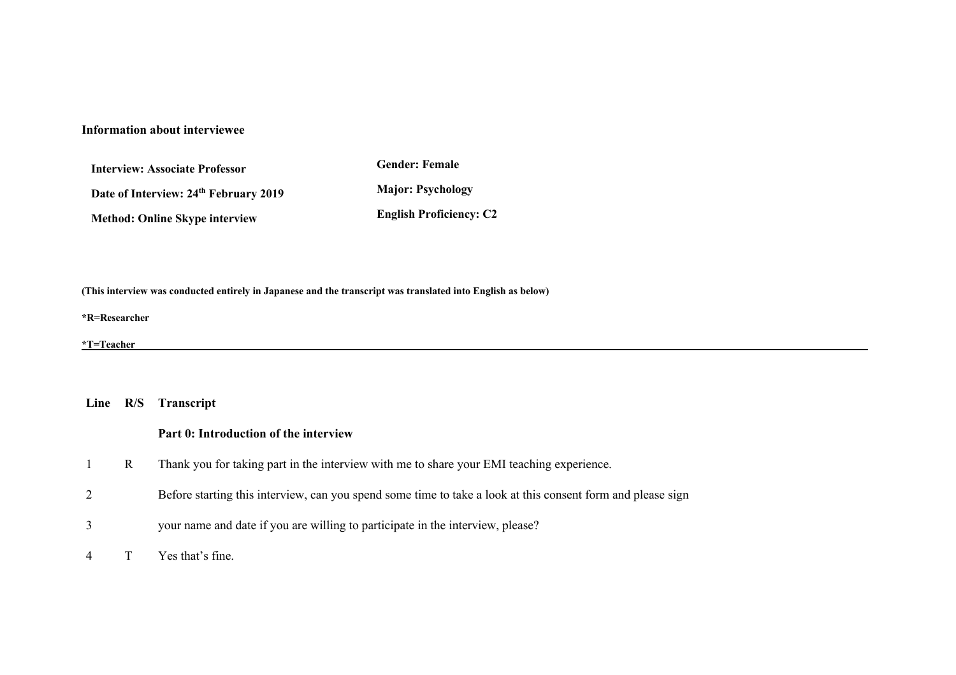# **Information about interviewee**

| <b>Interview: Associate Professor</b>             | <b>Gender: Female</b>          |  |  |
|---------------------------------------------------|--------------------------------|--|--|
| Date of Interview: 24 <sup>th</sup> February 2019 | <b>Major: Psychology</b>       |  |  |
| <b>Method: Online Skype interview</b>             | <b>English Proficiency: C2</b> |  |  |

**(This interview was conducted entirely in Japanese and the transcript was translated into English as below)**

### **\*R=Researcher**

**\*T=Teacher .**

# **Line R/S Transcript**

## **Part 0: Introduction of the interview**

- 1 R Thank you for taking part in the interview with me to share your EMI teaching experience.
- 2 Before starting this interview, can you spend some time to take a look at this consent form and please sign
- 3 your name and date if you are willing to participate in the interview, please?
- 4 T Yes that's fine.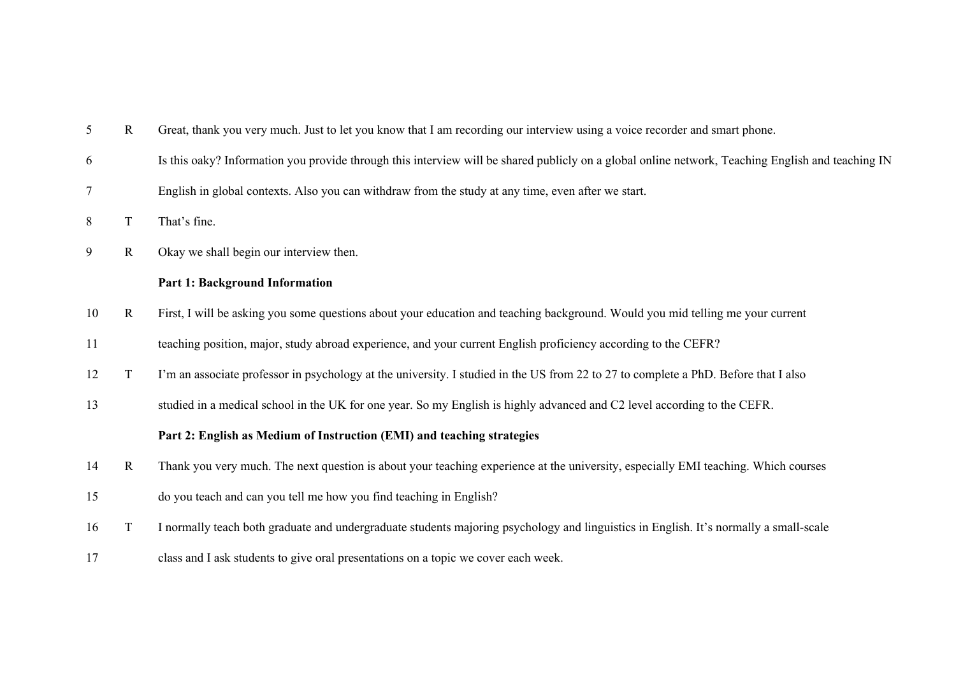|  | R Great, thank you very much. Just to let you know that I am recording our interview using a voice recorder and smart phone. |  |  |
|--|------------------------------------------------------------------------------------------------------------------------------|--|--|
|  |                                                                                                                              |  |  |

- Is this oaky? Information you provide through this interview will be shared publicly on a global online network, Teaching English and teaching IN
- English in global contexts. Also you can withdraw from the study at any time, even after we start.
- T That's fine.
- R Okay we shall begin our interview then.

### **Part 1: Background Information**

R First, I will be asking you some questions about your education and teaching background. Would you mid telling me your current

teaching position, major, study abroad experience, and your current English proficiency according to the CEFR?

- T I'm an associate professor in psychology at the university. I studied in the US from 22 to 27 to complete a PhD. Before that I also
- studied in a medical school in the UK for one year. So my English is highly advanced and C2 level according to the CEFR.

## **Part 2: English as Medium of Instruction (EMI) and teaching strategies**

- R Thank you very much. The next question is about your teaching experience at the university, especially EMI teaching. Which courses
- do you teach and can you tell me how you find teaching in English?
- T I normally teach both graduate and undergraduate students majoring psychology and linguistics in English. It's normally a small-scale
- class and I ask students to give oral presentations on a topic we cover each week.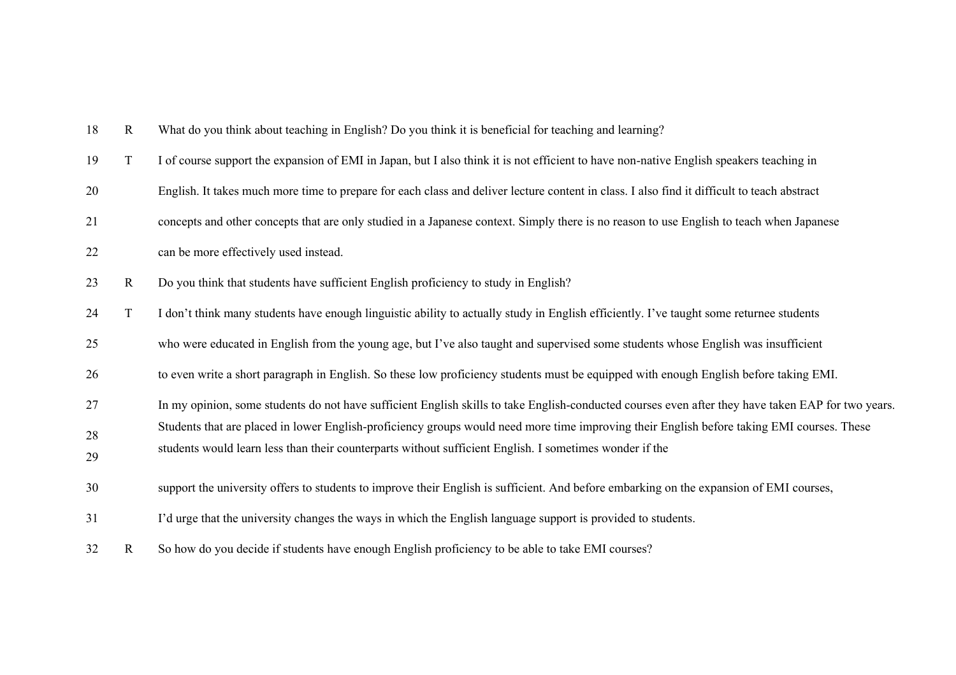| 18       | $\mathbf R$ | What do you think about teaching in English? Do you think it is beneficial for teaching and learning?                                                                                                                                                 |
|----------|-------------|-------------------------------------------------------------------------------------------------------------------------------------------------------------------------------------------------------------------------------------------------------|
| 19       | T           | I of course support the expansion of EMI in Japan, but I also think it is not efficient to have non-native English speakers teaching in                                                                                                               |
| 20       |             | English. It takes much more time to prepare for each class and deliver lecture content in class. I also find it difficult to teach abstract                                                                                                           |
| 21       |             | concepts and other concepts that are only studied in a Japanese context. Simply there is no reason to use English to teach when Japanese                                                                                                              |
| 22       |             | can be more effectively used instead.                                                                                                                                                                                                                 |
| 23       | $\mathbf R$ | Do you think that students have sufficient English proficiency to study in English?                                                                                                                                                                   |
| 24       | $\mathbf T$ | I don't think many students have enough linguistic ability to actually study in English efficiently. I've taught some returnee students                                                                                                               |
| 25       |             | who were educated in English from the young age, but I've also taught and supervised some students whose English was insufficient                                                                                                                     |
| 26       |             | to even write a short paragraph in English. So these low proficiency students must be equipped with enough English before taking EMI.                                                                                                                 |
| 27       |             | In my opinion, some students do not have sufficient English skills to take English-conducted courses even after they have taken EAP for two years.                                                                                                    |
| 28<br>29 |             | Students that are placed in lower English-proficiency groups would need more time improving their English before taking EMI courses. These<br>students would learn less than their counterparts without sufficient English. I sometimes wonder if the |
| 30       |             | support the university offers to students to improve their English is sufficient. And before embarking on the expansion of EMI courses,                                                                                                               |
| 31       |             | I'd urge that the university changes the ways in which the English language support is provided to students.                                                                                                                                          |
| 32       | $\mathbf R$ | So how do you decide if students have enough English proficiency to be able to take EMI courses?                                                                                                                                                      |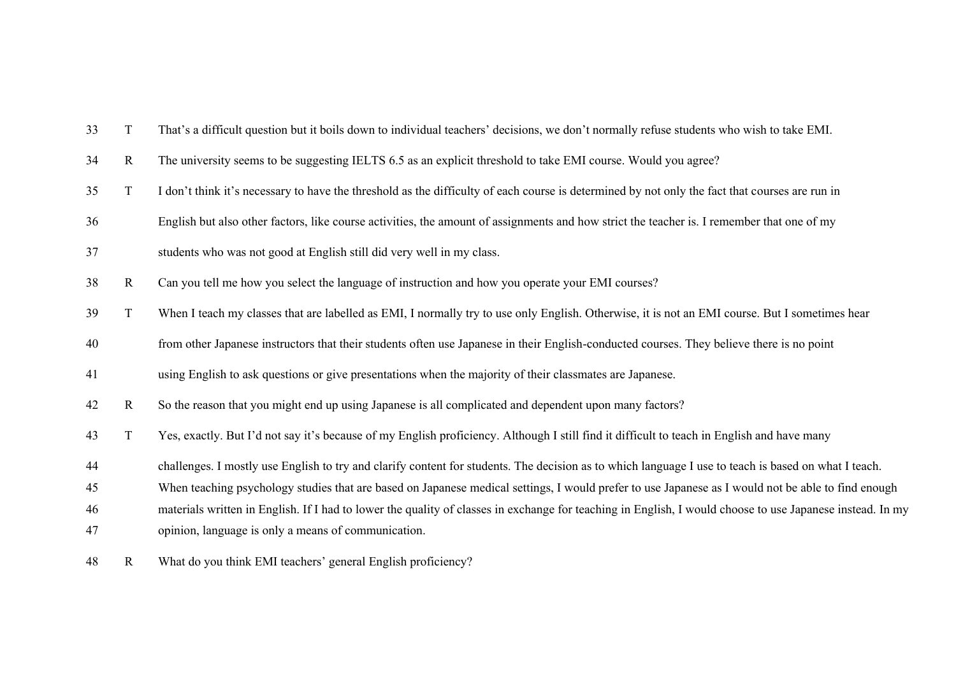| 33 | $\mathbf T$  | That's a difficult question but it boils down to individual teachers' decisions, we don't normally refuse students who wish to take EMI.                  |
|----|--------------|-----------------------------------------------------------------------------------------------------------------------------------------------------------|
| 34 | $\mathbf R$  | The university seems to be suggesting IELTS 6.5 as an explicit threshold to take EMI course. Would you agree?                                             |
| 35 | T            | I don't think it's necessary to have the threshold as the difficulty of each course is determined by not only the fact that courses are run in            |
| 36 |              | English but also other factors, like course activities, the amount of assignments and how strict the teacher is. I remember that one of my                |
| 37 |              | students who was not good at English still did very well in my class.                                                                                     |
| 38 | $\mathbf R$  | Can you tell me how you select the language of instruction and how you operate your EMI courses?                                                          |
| 39 | $\mathbf T$  | When I teach my classes that are labelled as EMI, I normally try to use only English. Otherwise, it is not an EMI course. But I sometimes hear            |
| 40 |              | from other Japanese instructors that their students often use Japanese in their English-conducted courses. They believe there is no point                 |
| 41 |              | using English to ask questions or give presentations when the majority of their classmates are Japanese.                                                  |
| 42 | $\mathbf R$  | So the reason that you might end up using Japanese is all complicated and dependent upon many factors?                                                    |
| 43 | T            | Yes, exactly. But I'd not say it's because of my English proficiency. Although I still find it difficult to teach in English and have many                |
| 44 |              | challenges. I mostly use English to try and clarify content for students. The decision as to which language I use to teach is based on what I teach.      |
| 45 |              | When teaching psychology studies that are based on Japanese medical settings, I would prefer to use Japanese as I would not be able to find enough        |
| 46 |              | materials written in English. If I had to lower the quality of classes in exchange for teaching in English, I would choose to use Japanese instead. In my |
| 47 |              | opinion, language is only a means of communication.                                                                                                       |
| 48 | $\mathbf{R}$ | What do you think EMI teachers' general English proficiency?                                                                                              |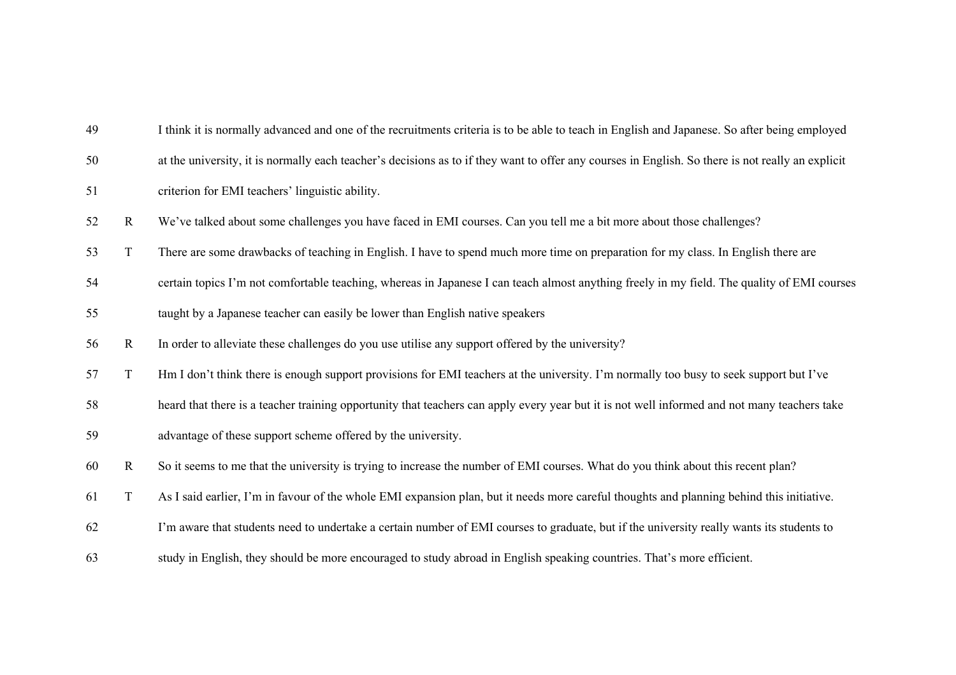| 49 |             | I think it is normally advanced and one of the recruitments criteria is to be able to teach in English and Japanese. So after being employed      |
|----|-------------|---------------------------------------------------------------------------------------------------------------------------------------------------|
| 50 |             | at the university, it is normally each teacher's decisions as to if they want to offer any courses in English. So there is not really an explicit |
| 51 |             | criterion for EMI teachers' linguistic ability.                                                                                                   |
| 52 | $\mathbf R$ | We've talked about some challenges you have faced in EMI courses. Can you tell me a bit more about those challenges?                              |
| 53 | $\mathbf T$ | There are some drawbacks of teaching in English. I have to spend much more time on preparation for my class. In English there are                 |
| 54 |             | certain topics I'm not comfortable teaching, whereas in Japanese I can teach almost anything freely in my field. The quality of EMI courses       |
| 55 |             | taught by a Japanese teacher can easily be lower than English native speakers                                                                     |
| 56 | $\mathbf R$ | In order to alleviate these challenges do you use utilise any support offered by the university?                                                  |
| 57 | $\mathbf T$ | Hm I don't think there is enough support provisions for EMI teachers at the university. I'm normally too busy to seek support but I've            |
| 58 |             | heard that there is a teacher training opportunity that teachers can apply every year but it is not well informed and not many teachers take      |
| 59 |             | advantage of these support scheme offered by the university.                                                                                      |
| 60 | $\mathbf R$ | So it seems to me that the university is trying to increase the number of EMI courses. What do you think about this recent plan?                  |
| 61 | $\mathbf T$ | As I said earlier, I'm in favour of the whole EMI expansion plan, but it needs more careful thoughts and planning behind this initiative.         |
| 62 |             | I'm aware that students need to undertake a certain number of EMI courses to graduate, but if the university really wants its students to         |
| 63 |             | study in English, they should be more encouraged to study abroad in English speaking countries. That's more efficient.                            |
|    |             |                                                                                                                                                   |